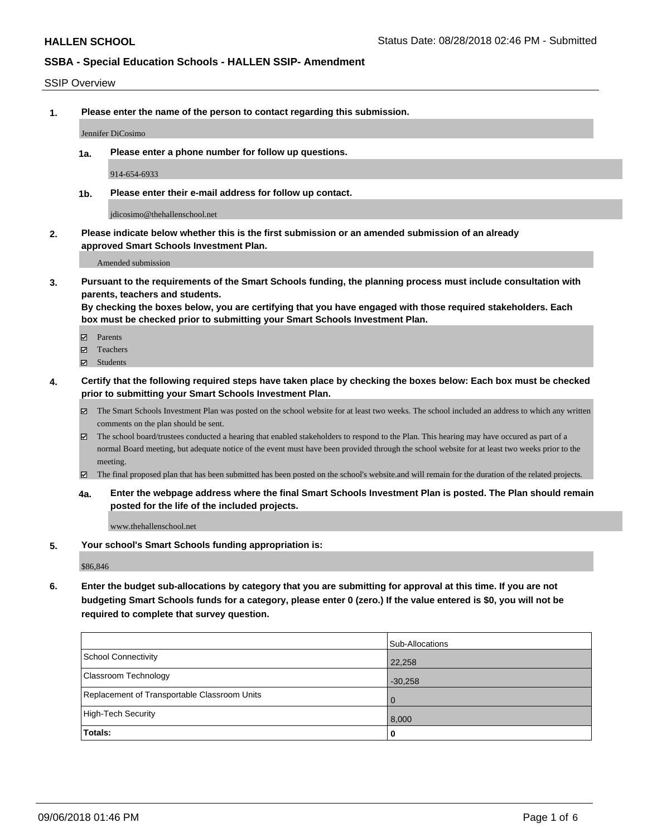#### SSIP Overview

**1. Please enter the name of the person to contact regarding this submission.**

Jennifer DiCosimo

**1a. Please enter a phone number for follow up questions.**

914-654-6933

**1b. Please enter their e-mail address for follow up contact.**

jdicosimo@thehallenschool.net

**2. Please indicate below whether this is the first submission or an amended submission of an already approved Smart Schools Investment Plan.**

Amended submission

**3. Pursuant to the requirements of the Smart Schools funding, the planning process must include consultation with parents, teachers and students.**

**By checking the boxes below, you are certifying that you have engaged with those required stakeholders. Each box must be checked prior to submitting your Smart Schools Investment Plan.**

- Parents
- Teachers
- Students
- **4. Certify that the following required steps have taken place by checking the boxes below: Each box must be checked prior to submitting your Smart Schools Investment Plan.**
	- The Smart Schools Investment Plan was posted on the school website for at least two weeks. The school included an address to which any written comments on the plan should be sent.
	- The school board/trustees conducted a hearing that enabled stakeholders to respond to the Plan. This hearing may have occured as part of a normal Board meeting, but adequate notice of the event must have been provided through the school website for at least two weeks prior to the meeting.
	- The final proposed plan that has been submitted has been posted on the school's website.and will remain for the duration of the related projects.
	- **4a. Enter the webpage address where the final Smart Schools Investment Plan is posted. The Plan should remain posted for the life of the included projects.**

www.thehallenschool.net

**5. Your school's Smart Schools funding appropriation is:**

\$86,846

**6. Enter the budget sub-allocations by category that you are submitting for approval at this time. If you are not budgeting Smart Schools funds for a category, please enter 0 (zero.) If the value entered is \$0, you will not be required to complete that survey question.**

|                                              | Sub-Allocations |
|----------------------------------------------|-----------------|
| School Connectivity                          | 22,258          |
| Classroom Technology                         | $-30,258$       |
| Replacement of Transportable Classroom Units | $\overline{0}$  |
| High-Tech Security                           | 8,000           |
| Totals:                                      | $\mathbf{0}$    |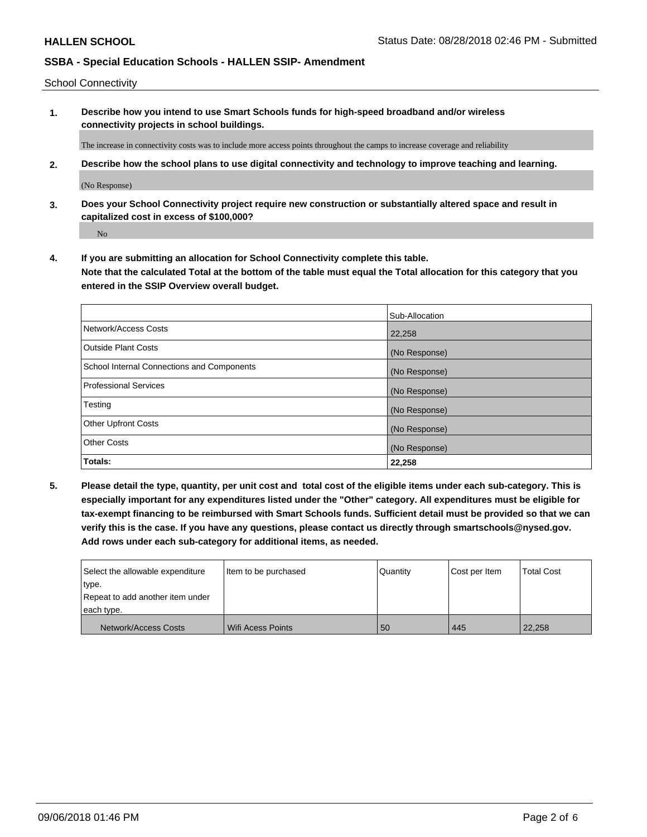School Connectivity

**1. Describe how you intend to use Smart Schools funds for high-speed broadband and/or wireless connectivity projects in school buildings.**

The increase in connectivity costs was to include more access points throughout the camps to increase coverage and reliability

**2. Describe how the school plans to use digital connectivity and technology to improve teaching and learning.**

(No Response)

**3. Does your School Connectivity project require new construction or substantially altered space and result in capitalized cost in excess of \$100,000?**

No

**4. If you are submitting an allocation for School Connectivity complete this table. Note that the calculated Total at the bottom of the table must equal the Total allocation for this category that you entered in the SSIP Overview overall budget.** 

|                                            | Sub-Allocation |
|--------------------------------------------|----------------|
| Network/Access Costs                       | 22,258         |
| <b>Outside Plant Costs</b>                 | (No Response)  |
| School Internal Connections and Components | (No Response)  |
| <b>Professional Services</b>               | (No Response)  |
| Testing                                    | (No Response)  |
| <b>Other Upfront Costs</b>                 | (No Response)  |
| <b>Other Costs</b>                         | (No Response)  |
| Totals:                                    | 22,258         |

**5. Please detail the type, quantity, per unit cost and total cost of the eligible items under each sub-category. This is especially important for any expenditures listed under the "Other" category. All expenditures must be eligible for tax-exempt financing to be reimbursed with Smart Schools funds. Sufficient detail must be provided so that we can verify this is the case. If you have any questions, please contact us directly through smartschools@nysed.gov. Add rows under each sub-category for additional items, as needed.**

| Select the allowable expenditure                         | I Item to be purchased | Quantity | Cost per Item | <b>Total Cost</b> |
|----------------------------------------------------------|------------------------|----------|---------------|-------------------|
| ∣type.<br>Repeat to add another item under<br>each type. |                        |          |               |                   |
| Network/Access Costs                                     | Wifi Acess Points      | 50       | 445           | 22,258            |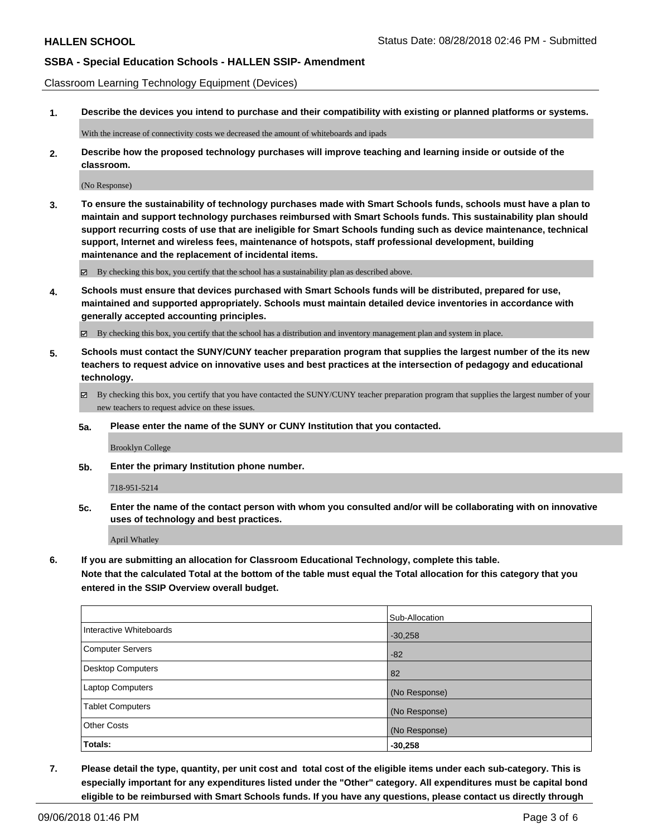Classroom Learning Technology Equipment (Devices)

**1. Describe the devices you intend to purchase and their compatibility with existing or planned platforms or systems.**

With the increase of connectivity costs we decreased the amount of whiteboards and ipads

**2. Describe how the proposed technology purchases will improve teaching and learning inside or outside of the classroom.**

(No Response)

**3. To ensure the sustainability of technology purchases made with Smart Schools funds, schools must have a plan to maintain and support technology purchases reimbursed with Smart Schools funds. This sustainability plan should support recurring costs of use that are ineligible for Smart Schools funding such as device maintenance, technical support, Internet and wireless fees, maintenance of hotspots, staff professional development, building maintenance and the replacement of incidental items.**

By checking this box, you certify that the school has a sustainability plan as described above.

**4. Schools must ensure that devices purchased with Smart Schools funds will be distributed, prepared for use, maintained and supported appropriately. Schools must maintain detailed device inventories in accordance with generally accepted accounting principles.**

By checking this box, you certify that the school has a distribution and inventory management plan and system in place.

- **5. Schools must contact the SUNY/CUNY teacher preparation program that supplies the largest number of the its new teachers to request advice on innovative uses and best practices at the intersection of pedagogy and educational technology.**
	- By checking this box, you certify that you have contacted the SUNY/CUNY teacher preparation program that supplies the largest number of your new teachers to request advice on these issues.
	- **5a. Please enter the name of the SUNY or CUNY Institution that you contacted.**

Brooklyn College

**5b. Enter the primary Institution phone number.**

718-951-5214

**5c. Enter the name of the contact person with whom you consulted and/or will be collaborating with on innovative uses of technology and best practices.**

April Whatley

**6. If you are submitting an allocation for Classroom Educational Technology, complete this table.**

**Note that the calculated Total at the bottom of the table must equal the Total allocation for this category that you entered in the SSIP Overview overall budget.**

|                          | Sub-Allocation |
|--------------------------|----------------|
| Interactive Whiteboards  | $-30,258$      |
| <b>Computer Servers</b>  | $-82$          |
| <b>Desktop Computers</b> | 82             |
| Laptop Computers         | (No Response)  |
| <b>Tablet Computers</b>  | (No Response)  |
| <b>Other Costs</b>       | (No Response)  |
| Totals:                  | $-30,258$      |

**7. Please detail the type, quantity, per unit cost and total cost of the eligible items under each sub-category. This is especially important for any expenditures listed under the "Other" category. All expenditures must be capital bond eligible to be reimbursed with Smart Schools funds. If you have any questions, please contact us directly through**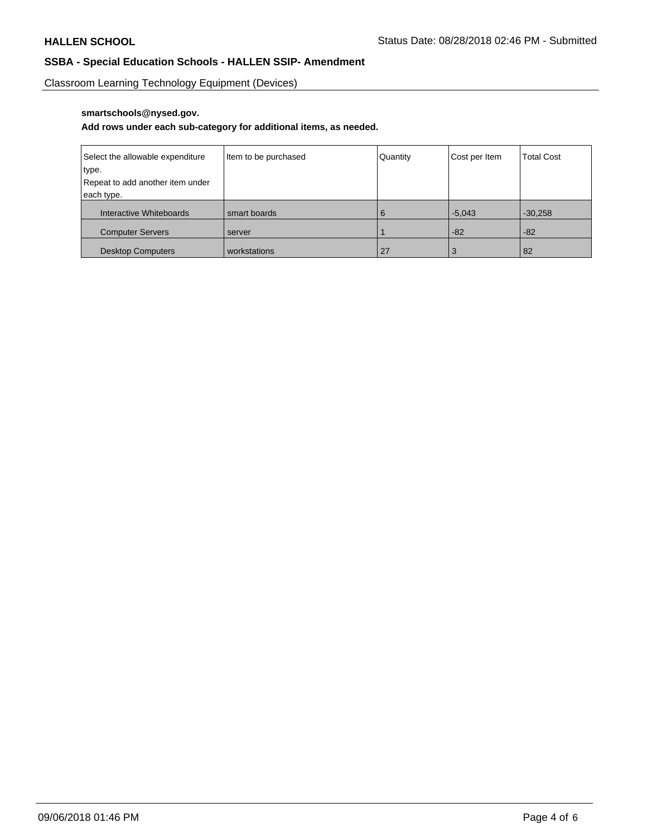Classroom Learning Technology Equipment (Devices)

## **smartschools@nysed.gov.**

## **Add rows under each sub-category for additional items, as needed.**

| Select the allowable expenditure | Item to be purchased | Quantity | Cost per Item | <b>Total Cost</b> |
|----------------------------------|----------------------|----------|---------------|-------------------|
| type.                            |                      |          |               |                   |
| Repeat to add another item under |                      |          |               |                   |
| each type.                       |                      |          |               |                   |
| Interactive Whiteboards          | smart boards         | 6        | $-5.043$      | $-30,258$         |
| <b>Computer Servers</b>          | server               |          | $-82$         | $-82$             |
| <b>Desktop Computers</b>         | workstations         | 27       |               | 82                |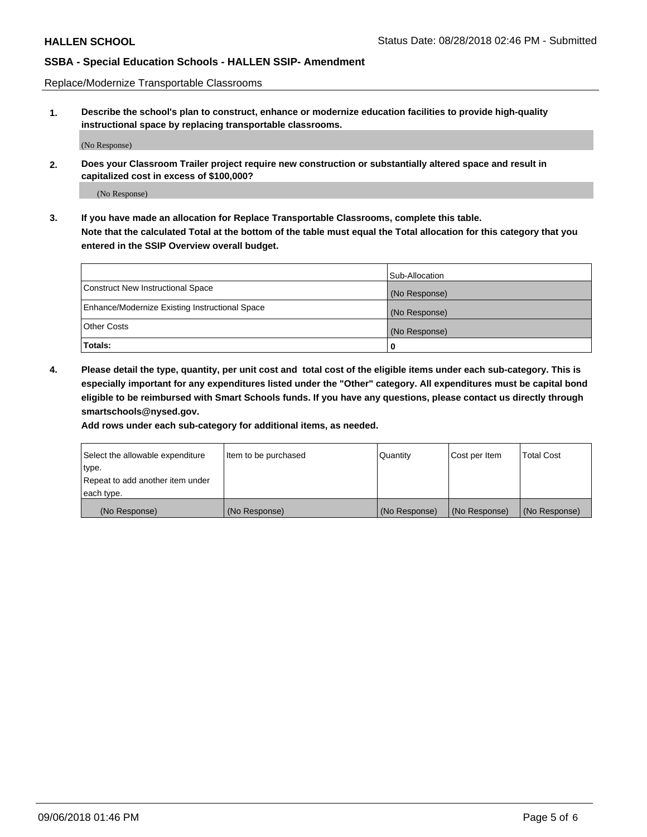Replace/Modernize Transportable Classrooms

**1. Describe the school's plan to construct, enhance or modernize education facilities to provide high-quality instructional space by replacing transportable classrooms.**

(No Response)

**2. Does your Classroom Trailer project require new construction or substantially altered space and result in capitalized cost in excess of \$100,000?**

(No Response)

**3. If you have made an allocation for Replace Transportable Classrooms, complete this table. Note that the calculated Total at the bottom of the table must equal the Total allocation for this category that you entered in the SSIP Overview overall budget.**

|                                                | Sub-Allocation |
|------------------------------------------------|----------------|
| Construct New Instructional Space              | (No Response)  |
| Enhance/Modernize Existing Instructional Space | (No Response)  |
| Other Costs                                    | (No Response)  |
| Totals:                                        | 0              |

**4. Please detail the type, quantity, per unit cost and total cost of the eligible items under each sub-category. This is especially important for any expenditures listed under the "Other" category. All expenditures must be capital bond eligible to be reimbursed with Smart Schools funds. If you have any questions, please contact us directly through smartschools@nysed.gov.**

**Add rows under each sub-category for additional items, as needed.**

| Select the allowable expenditure | lltem to be purchased | Quantity      | Cost per Item | <b>Total Cost</b> |
|----------------------------------|-----------------------|---------------|---------------|-------------------|
| type.                            |                       |               |               |                   |
| Repeat to add another item under |                       |               |               |                   |
| each type.                       |                       |               |               |                   |
| (No Response)                    | (No Response)         | (No Response) | (No Response) | (No Response)     |